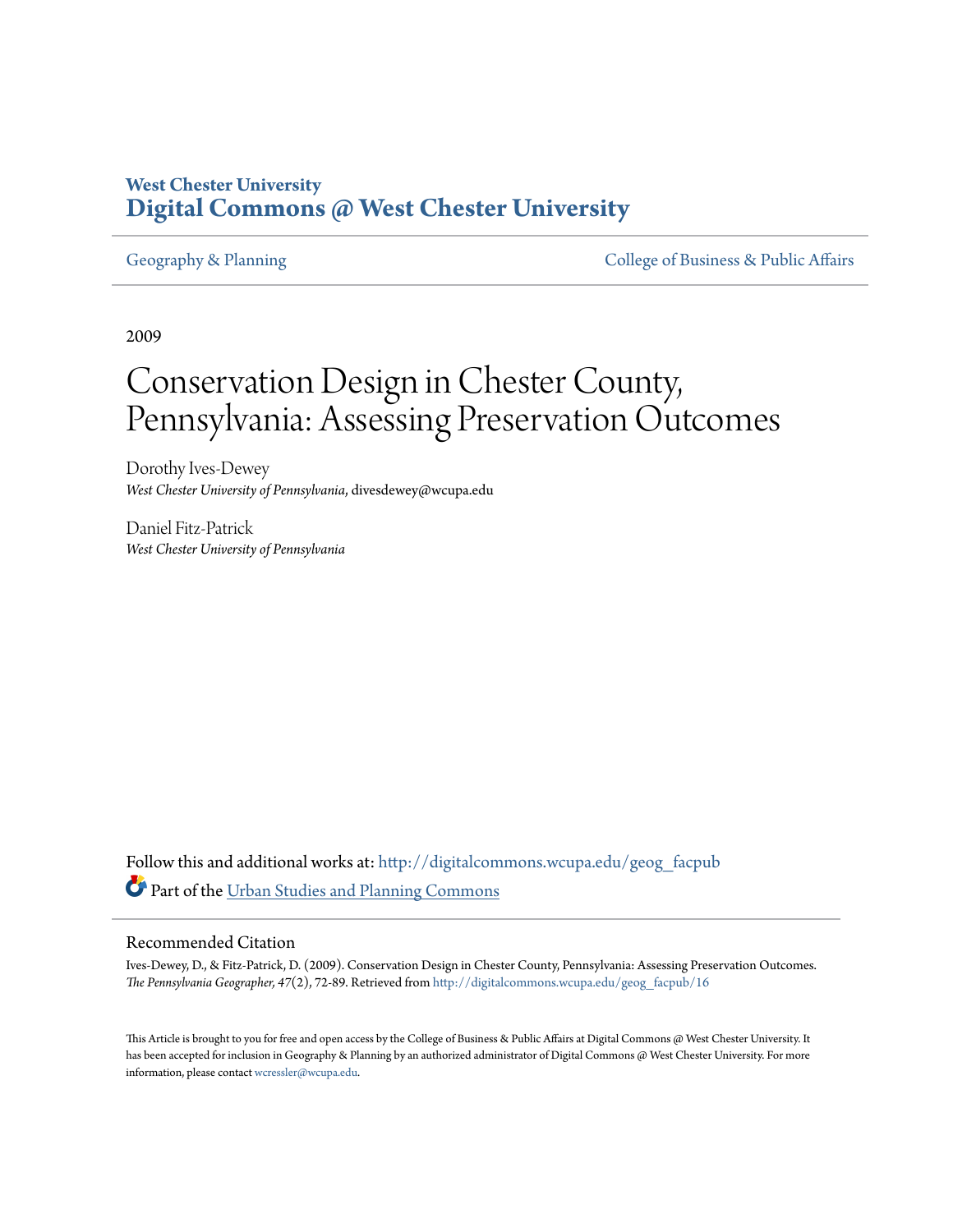# **West Chester University [Digital Commons @ West Chester University](http://digitalcommons.wcupa.edu?utm_source=digitalcommons.wcupa.edu%2Fgeog_facpub%2F16&utm_medium=PDF&utm_campaign=PDFCoverPages)**

[Geography & Planning](http://digitalcommons.wcupa.edu/geog_facpub?utm_source=digitalcommons.wcupa.edu%2Fgeog_facpub%2F16&utm_medium=PDF&utm_campaign=PDFCoverPages) The [College of Business & Public Affairs](http://digitalcommons.wcupa.edu/cbpa?utm_source=digitalcommons.wcupa.edu%2Fgeog_facpub%2F16&utm_medium=PDF&utm_campaign=PDFCoverPages)

2009

# Conservation Design in Chester County, Pennsylvania: Assessing Preservation Outcomes

Dorothy Ives-Dewey *West Chester University of Pennsylvania*, divesdewey@wcupa.edu

Daniel Fitz-Patrick *West Chester University of Pennsylvania*

Follow this and additional works at: [http://digitalcommons.wcupa.edu/geog\\_facpub](http://digitalcommons.wcupa.edu/geog_facpub?utm_source=digitalcommons.wcupa.edu%2Fgeog_facpub%2F16&utm_medium=PDF&utm_campaign=PDFCoverPages) Part of the [Urban Studies and Planning Commons](http://network.bepress.com/hgg/discipline/436?utm_source=digitalcommons.wcupa.edu%2Fgeog_facpub%2F16&utm_medium=PDF&utm_campaign=PDFCoverPages)

#### Recommended Citation

Ives-Dewey, D., & Fitz-Patrick, D. (2009). Conservation Design in Chester County, Pennsylvania: Assessing Preservation Outcomes. *The Pennsylvania Geographer, 47*(2), 72-89. Retrieved from [http://digitalcommons.wcupa.edu/geog\\_facpub/16](http://digitalcommons.wcupa.edu/geog_facpub/16?utm_source=digitalcommons.wcupa.edu%2Fgeog_facpub%2F16&utm_medium=PDF&utm_campaign=PDFCoverPages)

This Article is brought to you for free and open access by the College of Business & Public Affairs at Digital Commons @ West Chester University. It has been accepted for inclusion in Geography & Planning by an authorized administrator of Digital Commons @ West Chester University. For more information, please contact [wcressler@wcupa.edu.](mailto:wcressler@wcupa.edu)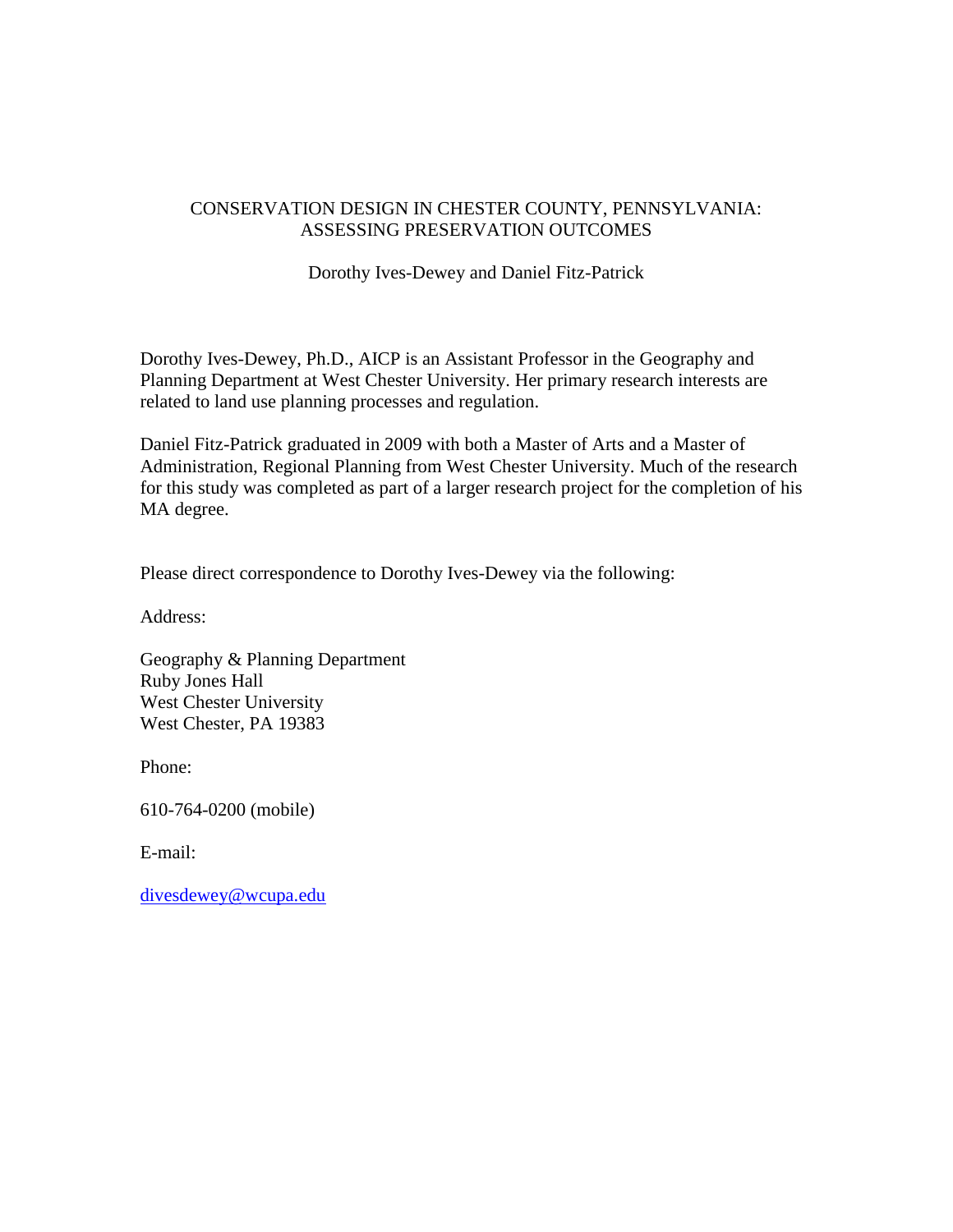# CONSERVATION DESIGN IN CHESTER COUNTY, PENNSYLVANIA: ASSESSING PRESERVATION OUTCOMES

Dorothy Ives-Dewey and Daniel Fitz-Patrick

Dorothy Ives-Dewey, Ph.D., AICP is an Assistant Professor in the Geography and Planning Department at West Chester University. Her primary research interests are related to land use planning processes and regulation.

Daniel Fitz-Patrick graduated in 2009 with both a Master of Arts and a Master of Administration, Regional Planning from West Chester University. Much of the research for this study was completed as part of a larger research project for the completion of his MA degree.

Please direct correspondence to Dorothy Ives-Dewey via the following:

Address:

Geography & Planning Department Ruby Jones Hall West Chester University West Chester, PA 19383

Phone:

610-764-0200 (mobile)

E-mail:

[divesdewey@wcupa.edu](mailto:divesdewey@wcupa.edu)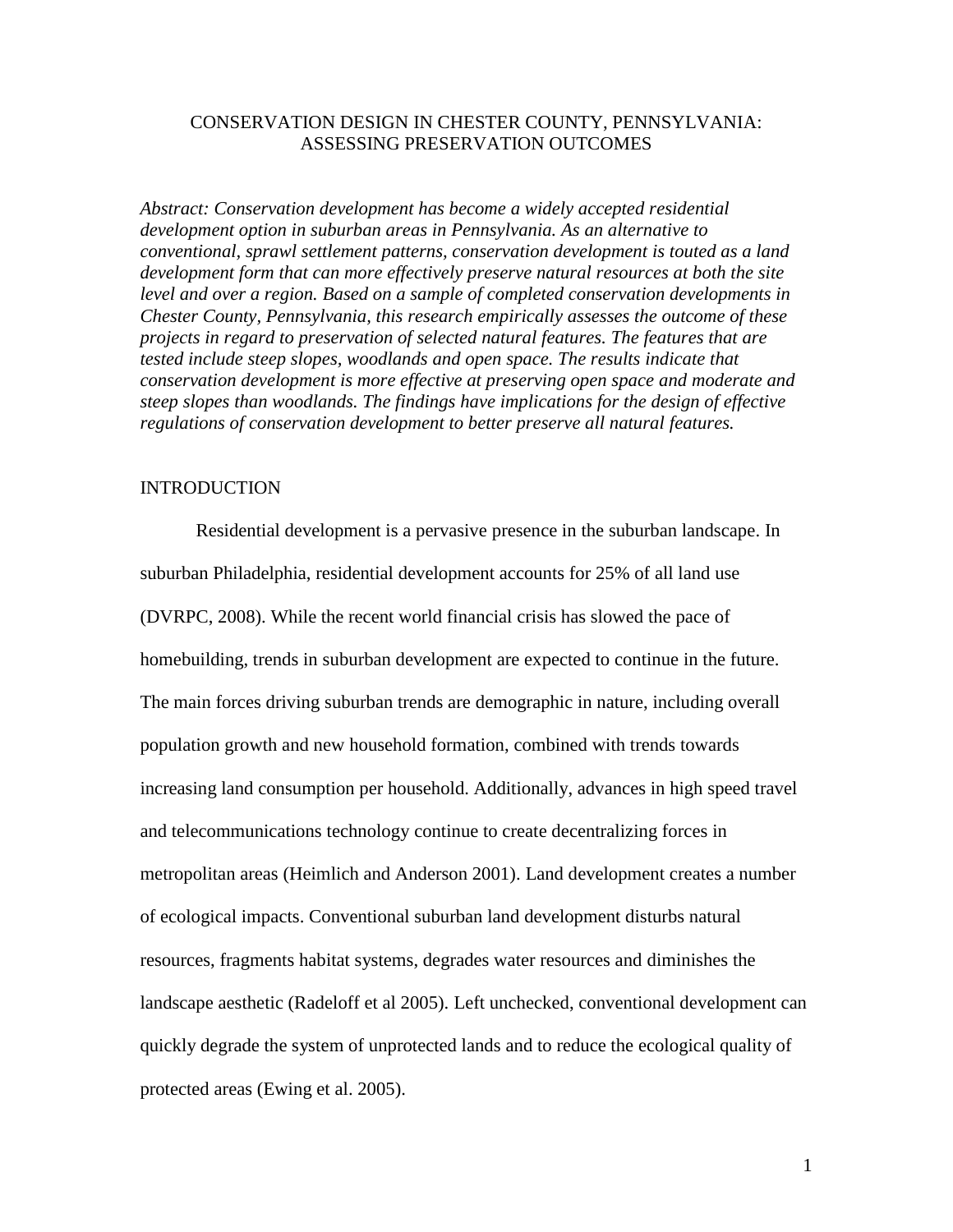# CONSERVATION DESIGN IN CHESTER COUNTY, PENNSYLVANIA: ASSESSING PRESERVATION OUTCOMES

*Abstract: Conservation development has become a widely accepted residential development option in suburban areas in Pennsylvania. As an alternative to conventional, sprawl settlement patterns, conservation development is touted as a land development form that can more effectively preserve natural resources at both the site level and over a region. Based on a sample of completed conservation developments in Chester County, Pennsylvania, this research empirically assesses the outcome of these projects in regard to preservation of selected natural features. The features that are tested include steep slopes, woodlands and open space. The results indicate that conservation development is more effective at preserving open space and moderate and steep slopes than woodlands. The findings have implications for the design of effective regulations of conservation development to better preserve all natural features.*

## **INTRODUCTION**

Residential development is a pervasive presence in the suburban landscape. In suburban Philadelphia, residential development accounts for 25% of all land use (DVRPC, 2008). While the recent world financial crisis has slowed the pace of homebuilding, trends in suburban development are expected to continue in the future. The main forces driving suburban trends are demographic in nature, including overall population growth and new household formation, combined with trends towards increasing land consumption per household. Additionally, advances in high speed travel and telecommunications technology continue to create decentralizing forces in metropolitan areas (Heimlich and Anderson 2001). Land development creates a number of ecological impacts. Conventional suburban land development disturbs natural resources, fragments habitat systems, degrades water resources and diminishes the landscape aesthetic (Radeloff et al 2005). Left unchecked, conventional development can quickly degrade the system of unprotected lands and to reduce the ecological quality of protected areas (Ewing et al. 2005).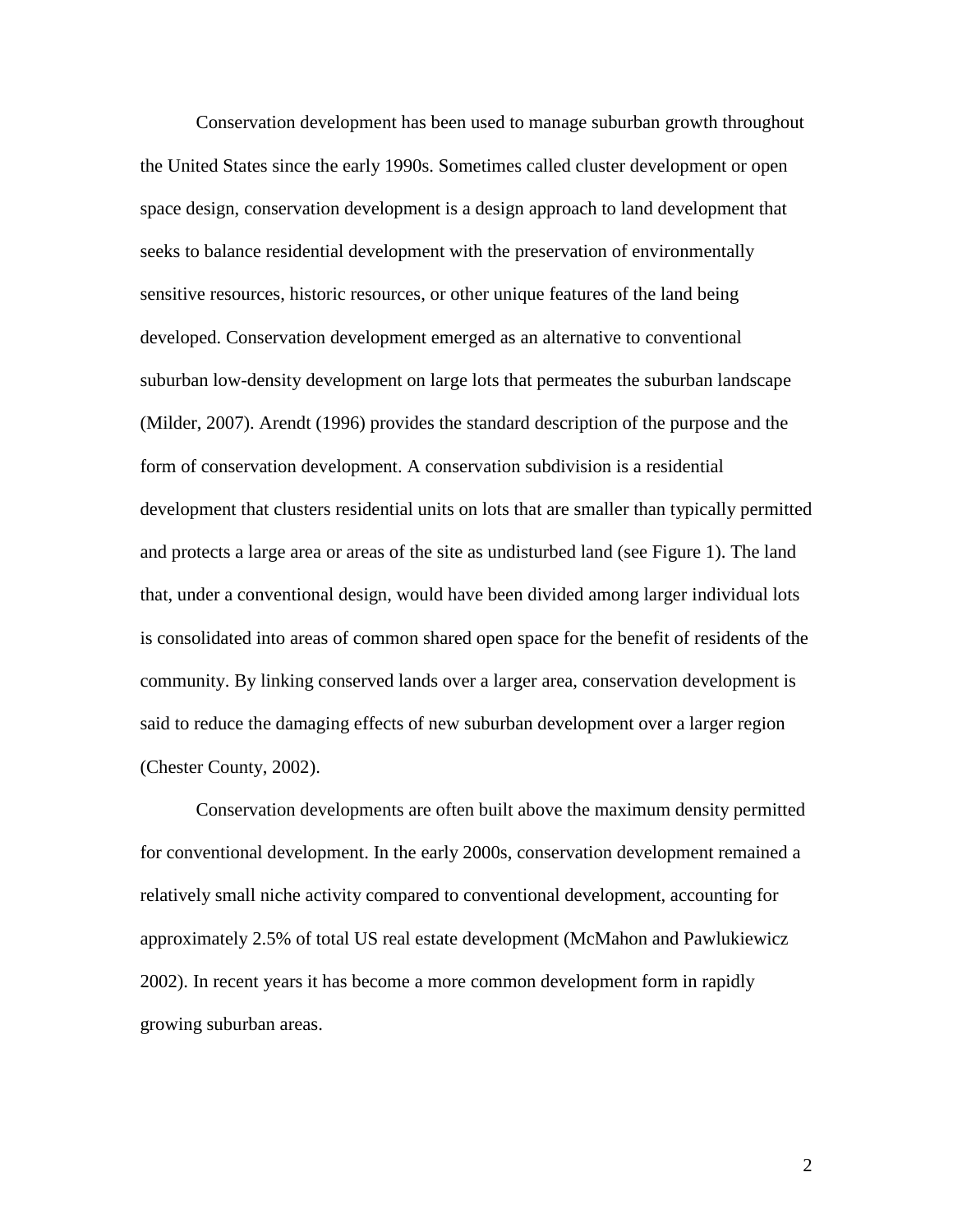Conservation development has been used to manage suburban growth throughout the United States since the early 1990s. Sometimes called cluster development or open space design, conservation development is a design approach to land development that seeks to balance residential development with the preservation of environmentally sensitive resources, historic resources, or other unique features of the land being developed. Conservation development emerged as an alternative to conventional suburban low-density development on large lots that permeates the suburban landscape (Milder, 2007). Arendt (1996) provides the standard description of the purpose and the form of conservation development. A conservation subdivision is a residential development that clusters residential units on lots that are smaller than typically permitted and protects a large area or areas of the site as undisturbed land (see Figure 1). The land that, under a conventional design, would have been divided among larger individual lots is consolidated into areas of common shared open space for the benefit of residents of the community. By linking conserved lands over a larger area, conservation development is said to reduce the damaging effects of new suburban development over a larger region (Chester County, 2002).

Conservation developments are often built above the maximum density permitted for conventional development. In the early 2000s, conservation development remained a relatively small niche activity compared to conventional development, accounting for approximately 2.5% of total US real estate development (McMahon and Pawlukiewicz 2002). In recent years it has become a more common development form in rapidly growing suburban areas.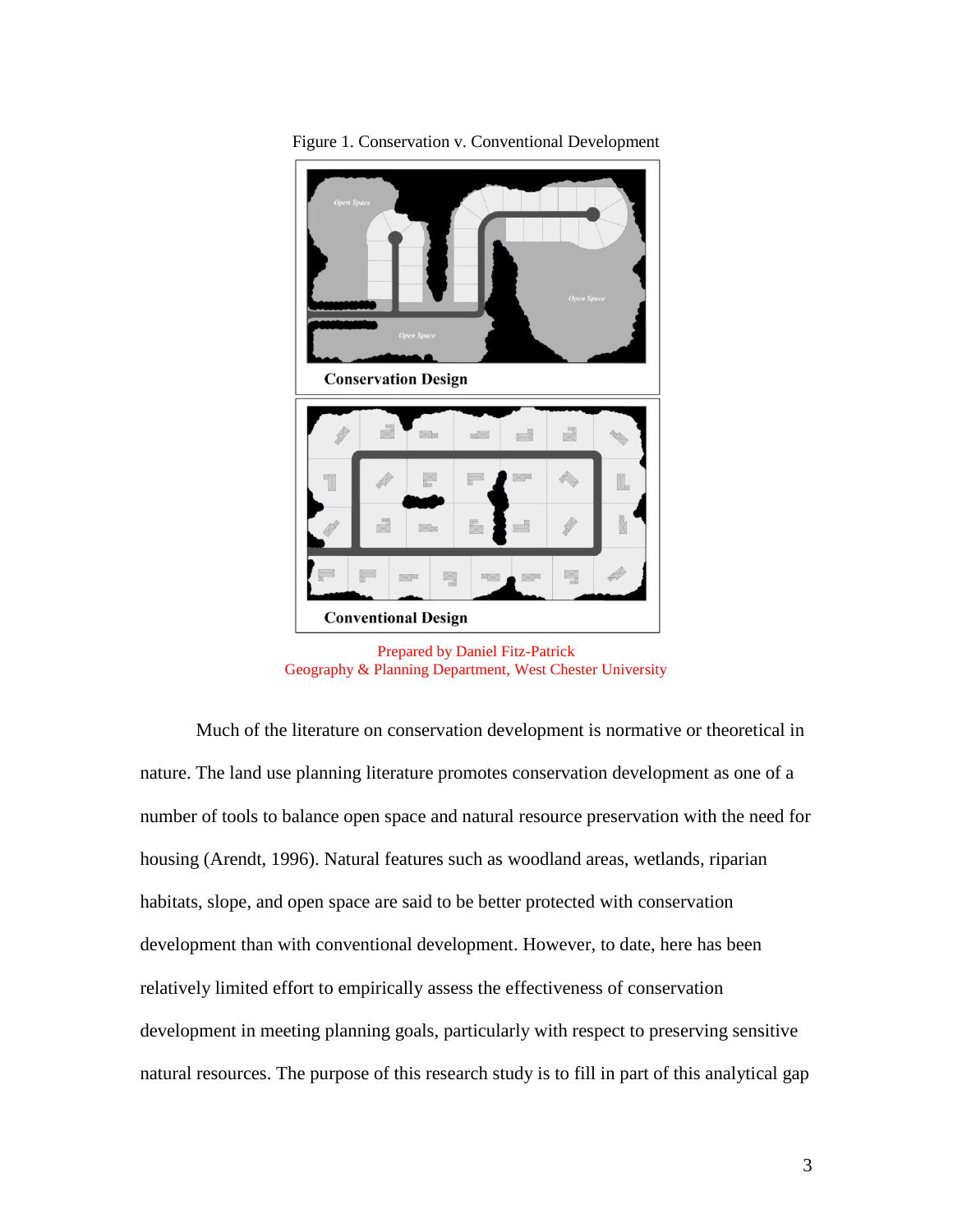

Figure 1. Conservation v. Conventional Development

Prepared by Daniel Fitz-Patrick Geography & Planning Department, West Chester University

Much of the literature on conservation development is normative or theoretical in nature. The land use planning literature promotes conservation development as one of a number of tools to balance open space and natural resource preservation with the need for housing (Arendt, 1996). Natural features such as woodland areas, wetlands, riparian habitats, slope, and open space are said to be better protected with conservation development than with conventional development. However, to date, here has been relatively limited effort to empirically assess the effectiveness of conservation development in meeting planning goals, particularly with respect to preserving sensitive natural resources. The purpose of this research study is to fill in part of this analytical gap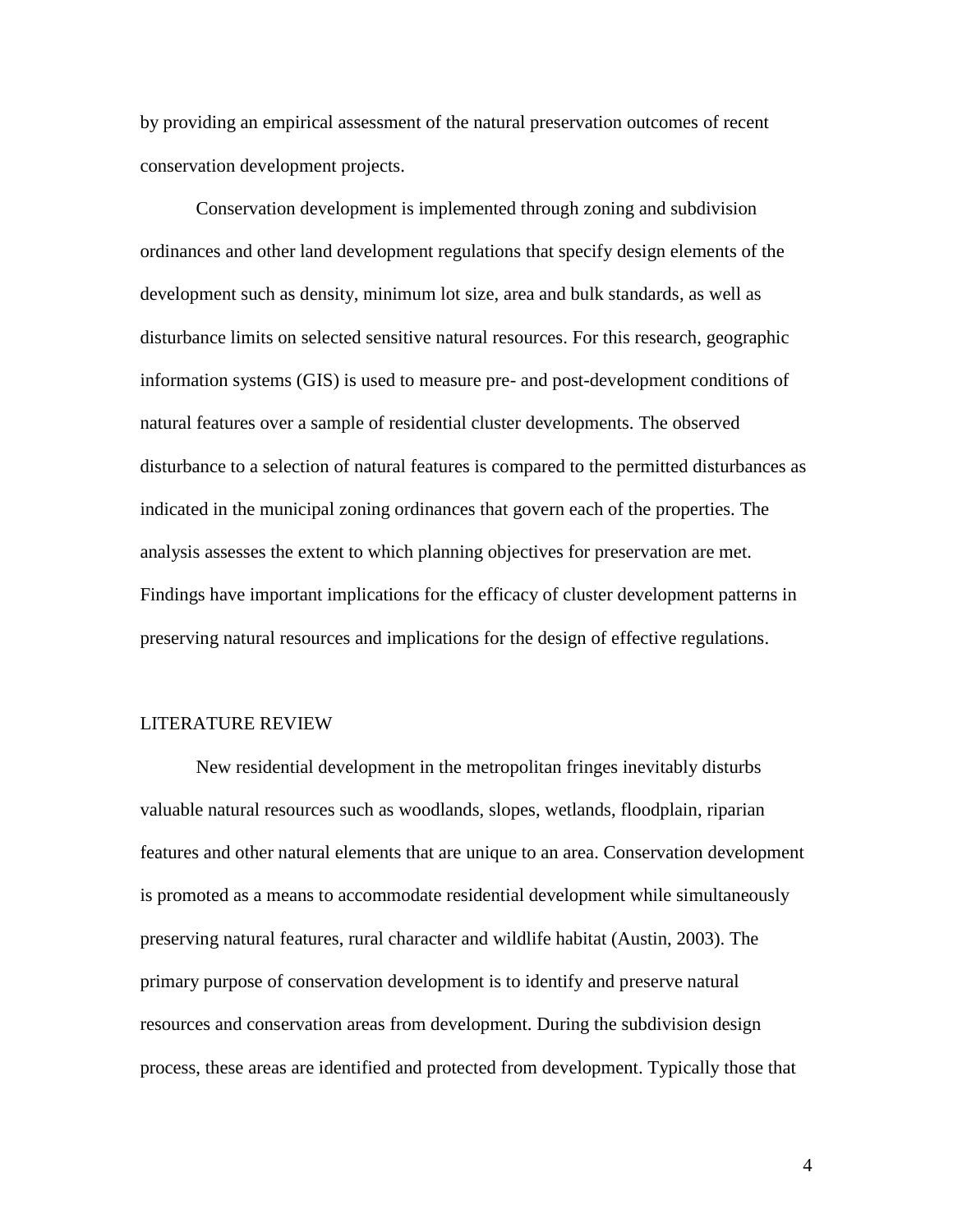by providing an empirical assessment of the natural preservation outcomes of recent conservation development projects.

Conservation development is implemented through zoning and subdivision ordinances and other land development regulations that specify design elements of the development such as density, minimum lot size, area and bulk standards, as well as disturbance limits on selected sensitive natural resources. For this research, geographic information systems (GIS) is used to measure pre- and post-development conditions of natural features over a sample of residential cluster developments. The observed disturbance to a selection of natural features is compared to the permitted disturbances as indicated in the municipal zoning ordinances that govern each of the properties. The analysis assesses the extent to which planning objectives for preservation are met. Findings have important implications for the efficacy of cluster development patterns in preserving natural resources and implications for the design of effective regulations.

#### LITERATURE REVIEW

New residential development in the metropolitan fringes inevitably disturbs valuable natural resources such as woodlands, slopes, wetlands, floodplain, riparian features and other natural elements that are unique to an area. Conservation development is promoted as a means to accommodate residential development while simultaneously preserving natural features, rural character and wildlife habitat (Austin, 2003). The primary purpose of conservation development is to identify and preserve natural resources and conservation areas from development. During the subdivision design process, these areas are identified and protected from development. Typically those that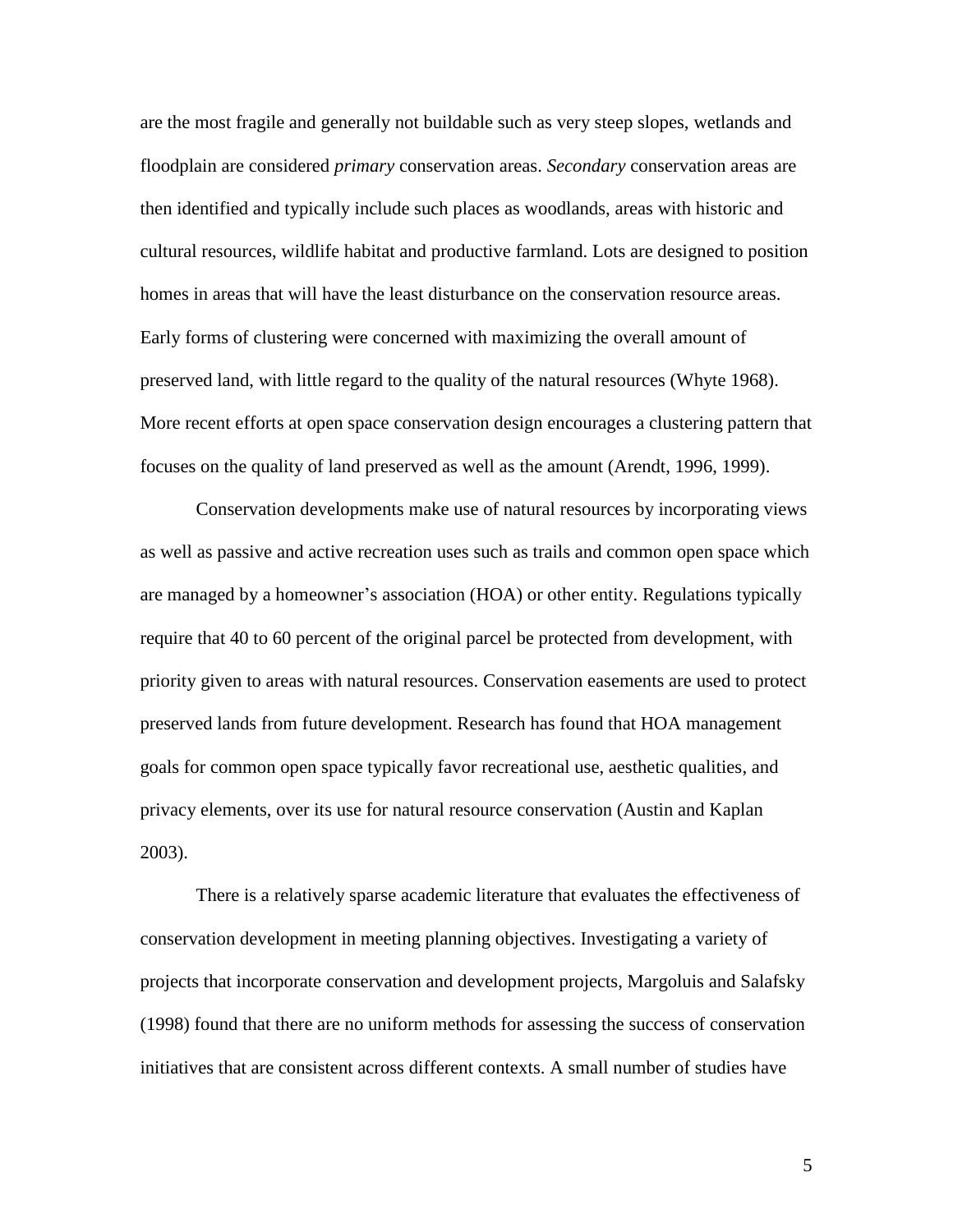are the most fragile and generally not buildable such as very steep slopes, wetlands and floodplain are considered *primary* conservation areas. *Secondary* conservation areas are then identified and typically include such places as woodlands, areas with historic and cultural resources, wildlife habitat and productive farmland. Lots are designed to position homes in areas that will have the least disturbance on the conservation resource areas. Early forms of clustering were concerned with maximizing the overall amount of preserved land, with little regard to the quality of the natural resources (Whyte 1968). More recent efforts at open space conservation design encourages a clustering pattern that focuses on the quality of land preserved as well as the amount (Arendt, 1996, 1999).

Conservation developments make use of natural resources by incorporating views as well as passive and active recreation uses such as trails and common open space which are managed by a homeowner's association (HOA) or other entity. Regulations typically require that 40 to 60 percent of the original parcel be protected from development, with priority given to areas with natural resources. Conservation easements are used to protect preserved lands from future development. Research has found that HOA management goals for common open space typically favor recreational use, aesthetic qualities, and privacy elements, over its use for natural resource conservation (Austin and Kaplan 2003).

There is a relatively sparse academic literature that evaluates the effectiveness of conservation development in meeting planning objectives. Investigating a variety of projects that incorporate conservation and development projects, Margoluis and Salafsky (1998) found that there are no uniform methods for assessing the success of conservation initiatives that are consistent across different contexts. A small number of studies have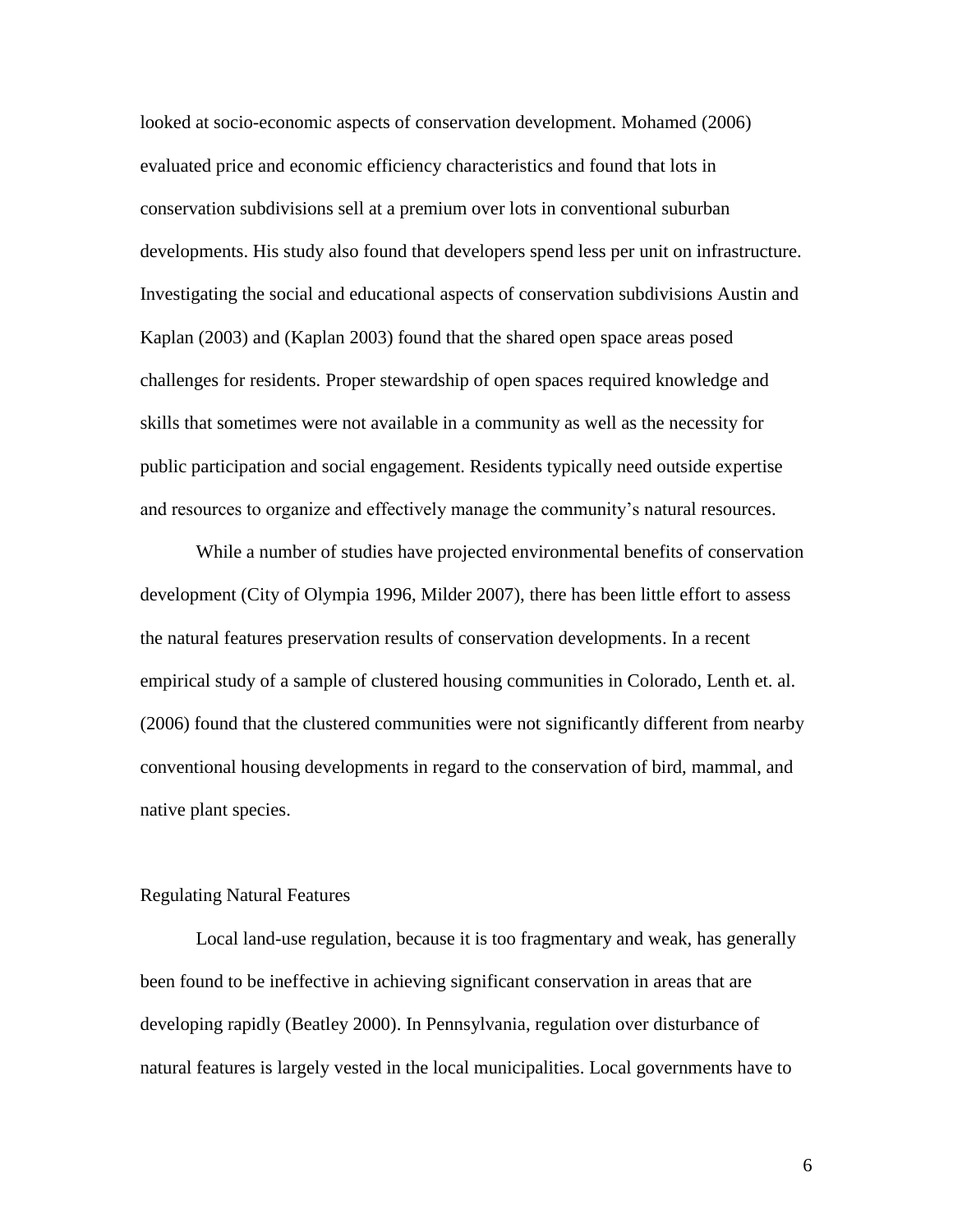looked at socio-economic aspects of conservation development. Mohamed (2006) evaluated price and economic efficiency characteristics and found that lots in conservation subdivisions sell at a premium over lots in conventional suburban developments. His study also found that developers spend less per unit on infrastructure. Investigating the social and educational aspects of conservation subdivisions Austin and Kaplan (2003) and (Kaplan 2003) found that the shared open space areas posed challenges for residents. Proper stewardship of open spaces required knowledge and skills that sometimes were not available in a community as well as the necessity for public participation and social engagement. Residents typically need outside expertise and resources to organize and effectively manage the community's natural resources.

While a number of studies have projected environmental benefits of conservation development (City of Olympia 1996, Milder 2007), there has been little effort to assess the natural features preservation results of conservation developments. In a recent empirical study of a sample of clustered housing communities in Colorado, Lenth et. al. (2006) found that the clustered communities were not significantly different from nearby conventional housing developments in regard to the conservation of bird, mammal, and native plant species.

#### Regulating Natural Features

Local land-use regulation, because it is too fragmentary and weak, has generally been found to be ineffective in achieving significant conservation in areas that are developing rapidly (Beatley 2000). In Pennsylvania, regulation over disturbance of natural features is largely vested in the local municipalities. Local governments have to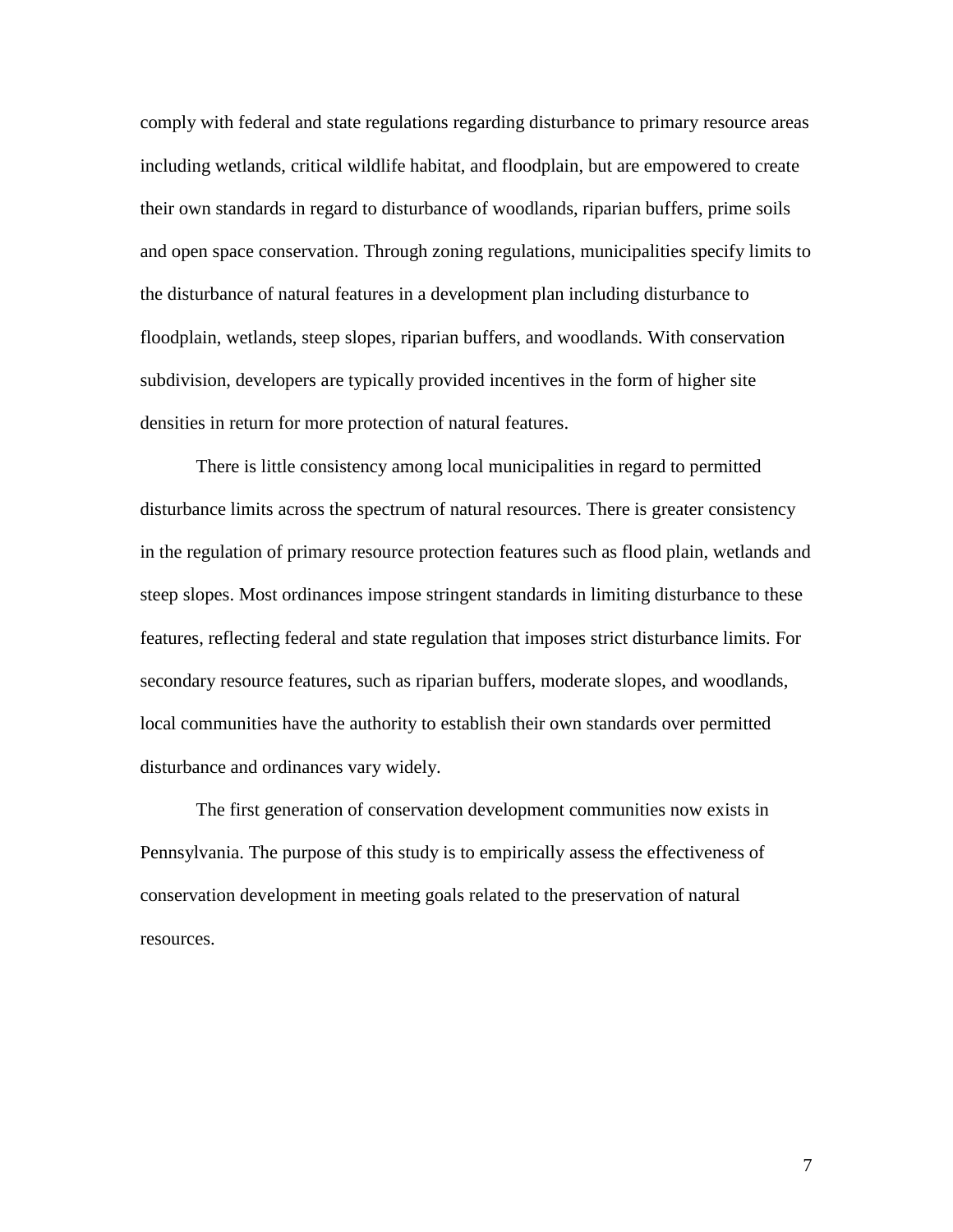comply with federal and state regulations regarding disturbance to primary resource areas including wetlands, critical wildlife habitat, and floodplain, but are empowered to create their own standards in regard to disturbance of woodlands, riparian buffers, prime soils and open space conservation. Through zoning regulations, municipalities specify limits to the disturbance of natural features in a development plan including disturbance to floodplain, wetlands, steep slopes, riparian buffers, and woodlands. With conservation subdivision, developers are typically provided incentives in the form of higher site densities in return for more protection of natural features.

There is little consistency among local municipalities in regard to permitted disturbance limits across the spectrum of natural resources. There is greater consistency in the regulation of primary resource protection features such as flood plain, wetlands and steep slopes. Most ordinances impose stringent standards in limiting disturbance to these features, reflecting federal and state regulation that imposes strict disturbance limits. For secondary resource features, such as riparian buffers, moderate slopes, and woodlands, local communities have the authority to establish their own standards over permitted disturbance and ordinances vary widely.

The first generation of conservation development communities now exists in Pennsylvania. The purpose of this study is to empirically assess the effectiveness of conservation development in meeting goals related to the preservation of natural resources.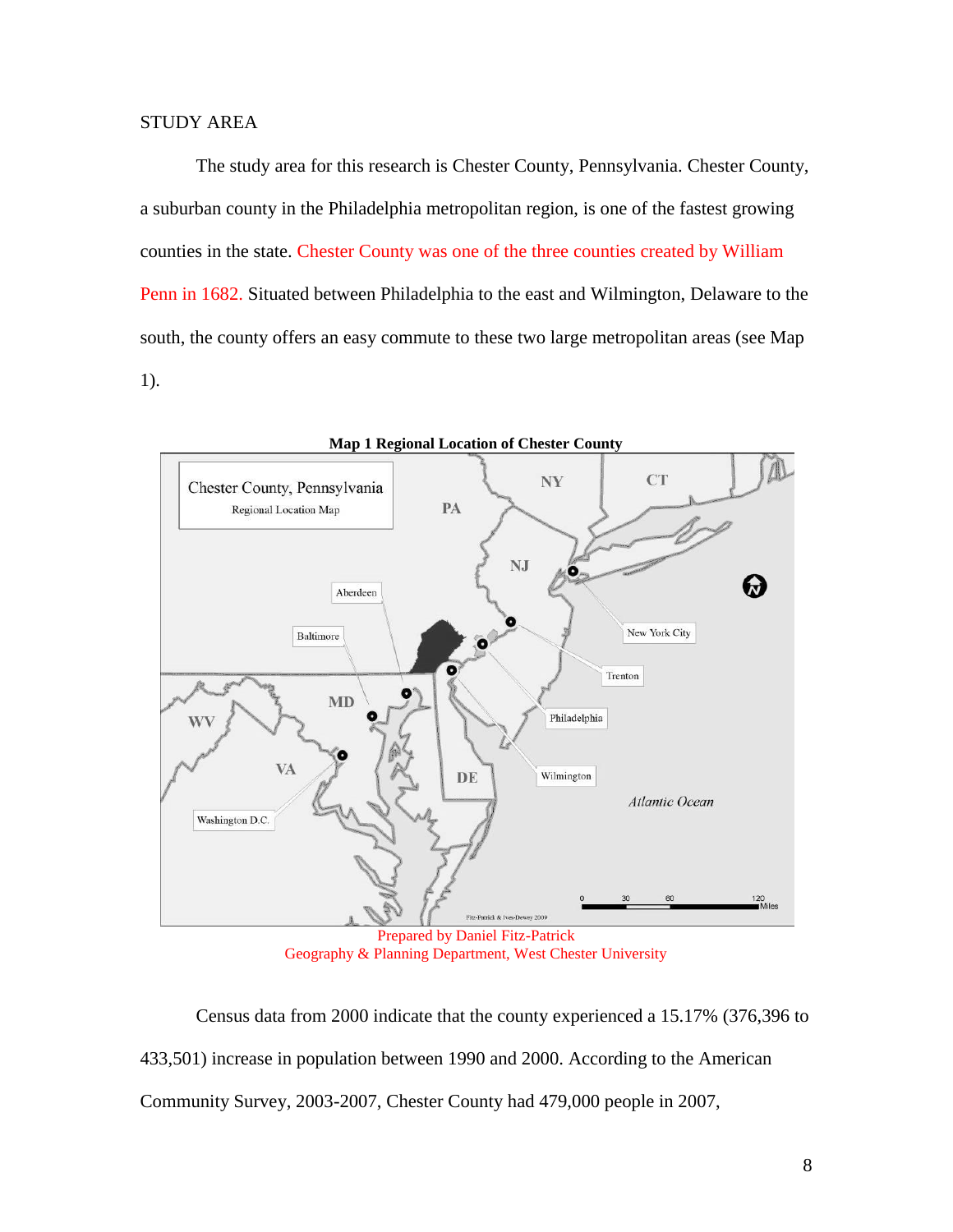The study area for this research is Chester County, Pennsylvania. Chester County, a suburban county in the Philadelphia metropolitan region, is one of the fastest growing counties in the state. Chester County was one of the three counties created by William Penn in 1682. Situated between Philadelphia to the east and Wilmington, Delaware to the south, the county offers an easy commute to these two large metropolitan areas (see Map 1).



Geography & Planning Department, West Chester University

Census data from 2000 indicate that the county experienced a 15.17% (376,396 to 433,501) increase in population between 1990 and 2000. According to the American Community Survey, 2003-2007, Chester County had 479,000 people in 2007,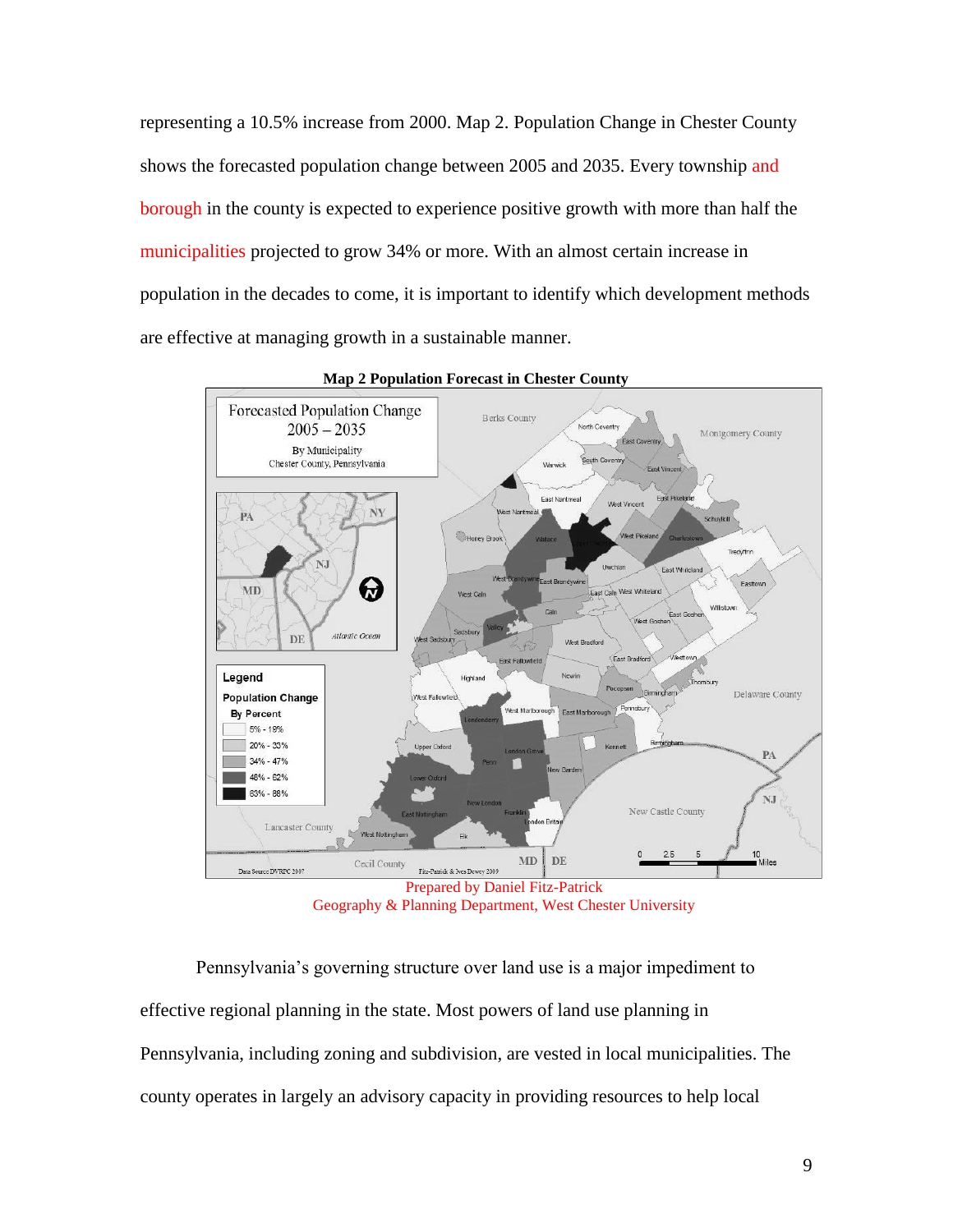representing a 10.5% increase from 2000. Map 2. Population Change in Chester County shows the forecasted population change between 2005 and 2035. Every township and borough in the county is expected to experience positive growth with more than half the municipalities projected to grow 34% or more. With an almost certain increase in population in the decades to come, it is important to identify which development methods are effective at managing growth in a sustainable manner.



**Map 2 Population Forecast in Chester County**

Prepared by Daniel Fitz-Patrick Geography & Planning Department, West Chester University

Pennsylvania's governing structure over land use is a major impediment to effective regional planning in the state. Most powers of land use planning in Pennsylvania, including zoning and subdivision, are vested in local municipalities. The county operates in largely an advisory capacity in providing resources to help local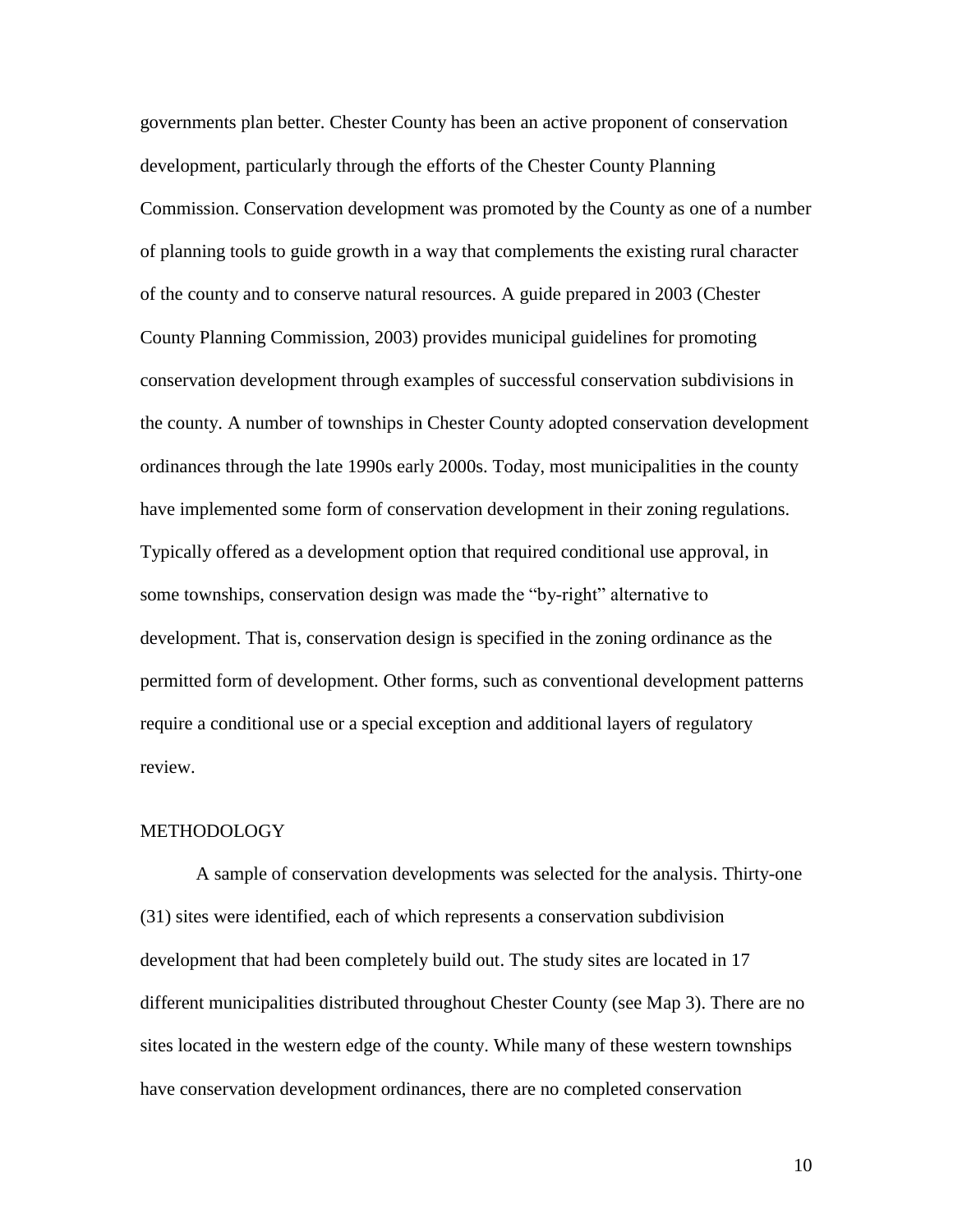governments plan better. Chester County has been an active proponent of conservation development, particularly through the efforts of the Chester County Planning Commission. Conservation development was promoted by the County as one of a number of planning tools to guide growth in a way that complements the existing rural character of the county and to conserve natural resources. A guide prepared in 2003 (Chester County Planning Commission, 2003) provides municipal guidelines for promoting conservation development through examples of successful conservation subdivisions in the county. A number of townships in Chester County adopted conservation development ordinances through the late 1990s early 2000s. Today, most municipalities in the county have implemented some form of conservation development in their zoning regulations. Typically offered as a development option that required conditional use approval, in some townships, conservation design was made the "by-right" alternative to development. That is, conservation design is specified in the zoning ordinance as the permitted form of development. Other forms, such as conventional development patterns require a conditional use or a special exception and additional layers of regulatory review.

# **METHODOLOGY**

A sample of conservation developments was selected for the analysis. Thirty-one (31) sites were identified, each of which represents a conservation subdivision development that had been completely build out. The study sites are located in 17 different municipalities distributed throughout Chester County (see Map 3). There are no sites located in the western edge of the county. While many of these western townships have conservation development ordinances, there are no completed conservation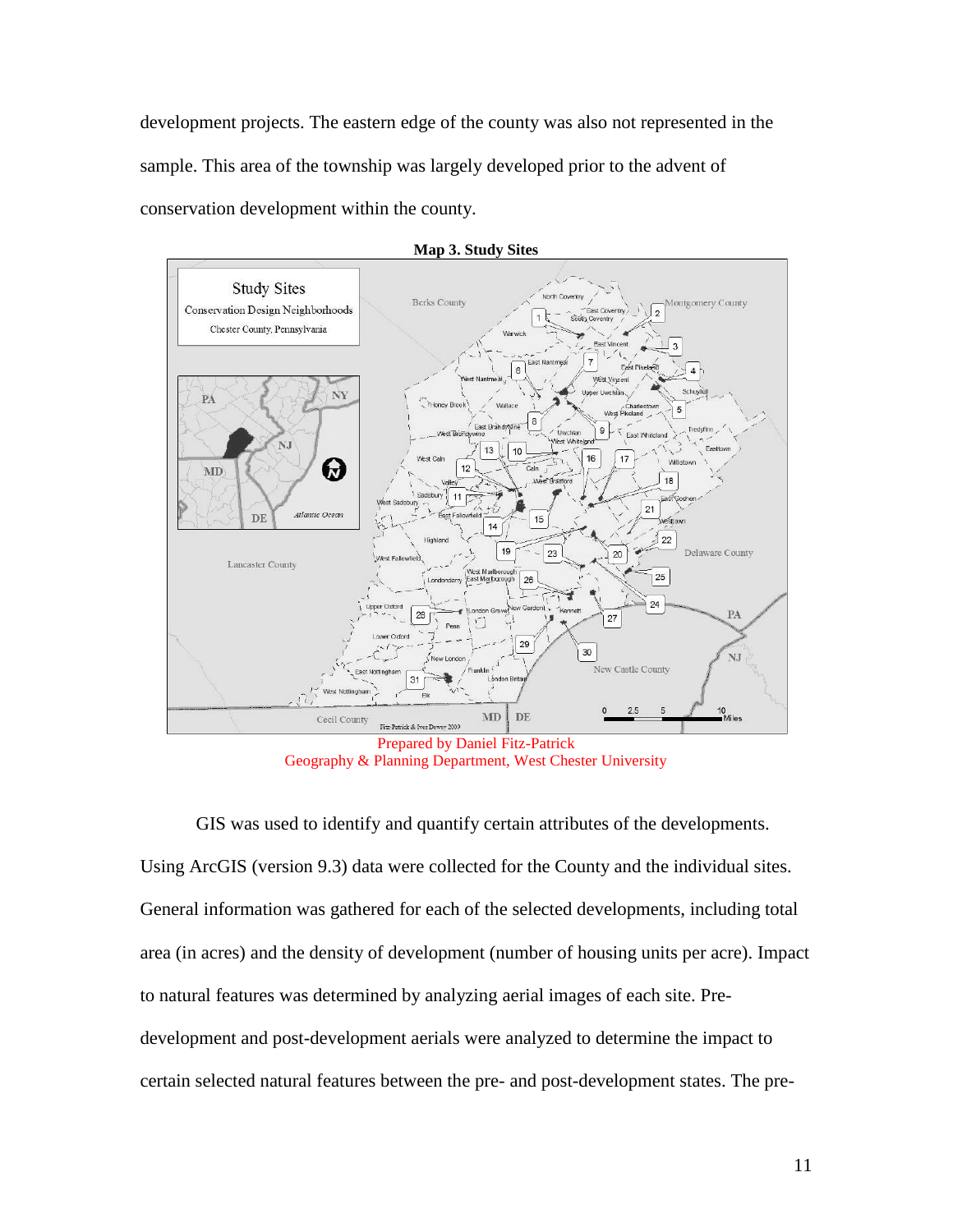development projects. The eastern edge of the county was also not represented in the sample. This area of the township was largely developed prior to the advent of conservation development within the county.



Geography & Planning Department, West Chester University

GIS was used to identify and quantify certain attributes of the developments. Using ArcGIS (version 9.3) data were collected for the County and the individual sites. General information was gathered for each of the selected developments, including total area (in acres) and the density of development (number of housing units per acre). Impact to natural features was determined by analyzing aerial images of each site. Predevelopment and post-development aerials were analyzed to determine the impact to certain selected natural features between the pre- and post-development states. The pre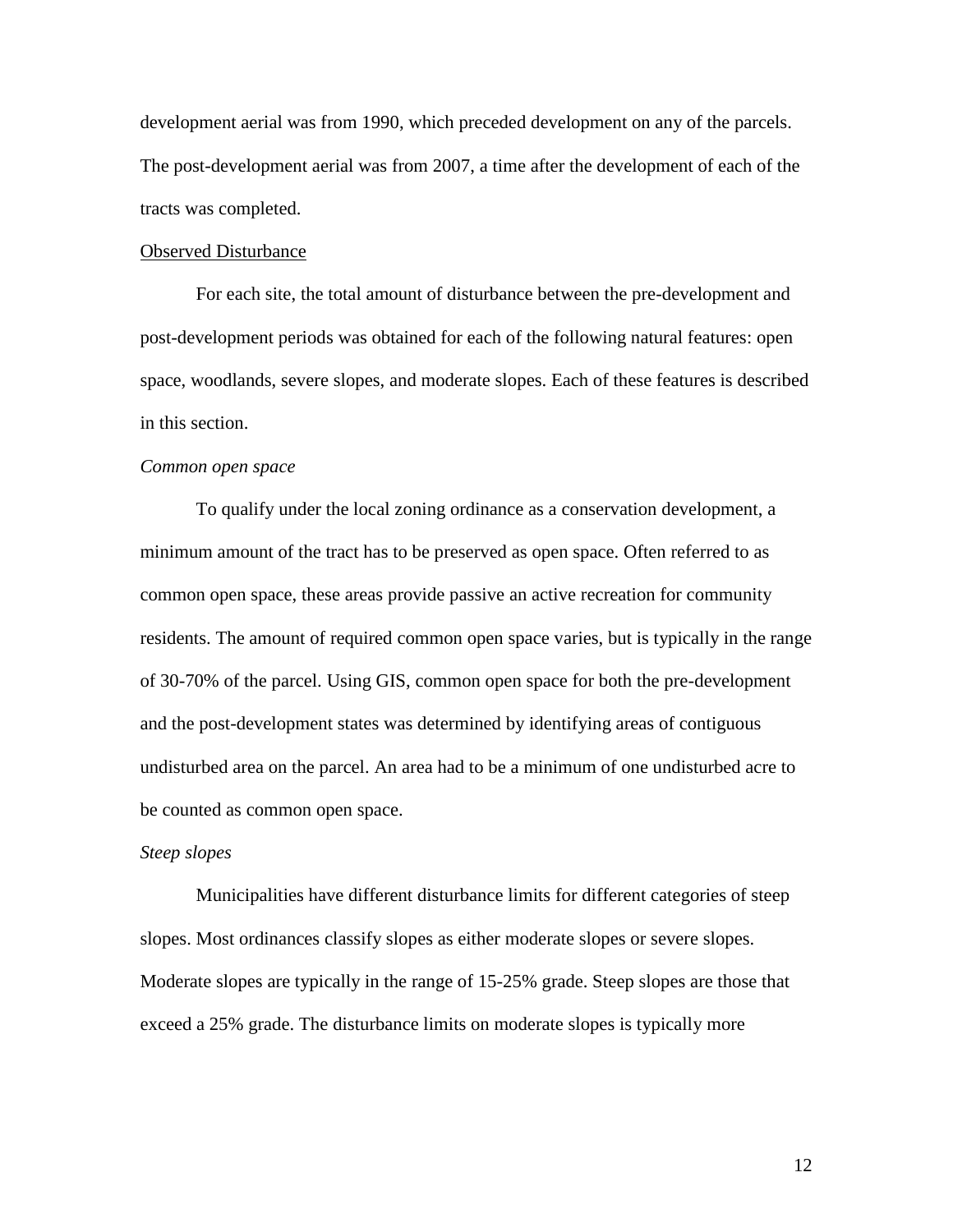development aerial was from 1990, which preceded development on any of the parcels. The post-development aerial was from 2007, a time after the development of each of the tracts was completed.

#### Observed Disturbance

For each site, the total amount of disturbance between the pre-development and post-development periods was obtained for each of the following natural features: open space, woodlands, severe slopes, and moderate slopes. Each of these features is described in this section.

#### *Common open space*

To qualify under the local zoning ordinance as a conservation development, a minimum amount of the tract has to be preserved as open space. Often referred to as common open space, these areas provide passive an active recreation for community residents. The amount of required common open space varies, but is typically in the range of 30-70% of the parcel. Using GIS, common open space for both the pre-development and the post-development states was determined by identifying areas of contiguous undisturbed area on the parcel. An area had to be a minimum of one undisturbed acre to be counted as common open space.

### *Steep slopes*

Municipalities have different disturbance limits for different categories of steep slopes. Most ordinances classify slopes as either moderate slopes or severe slopes. Moderate slopes are typically in the range of 15-25% grade. Steep slopes are those that exceed a 25% grade. The disturbance limits on moderate slopes is typically more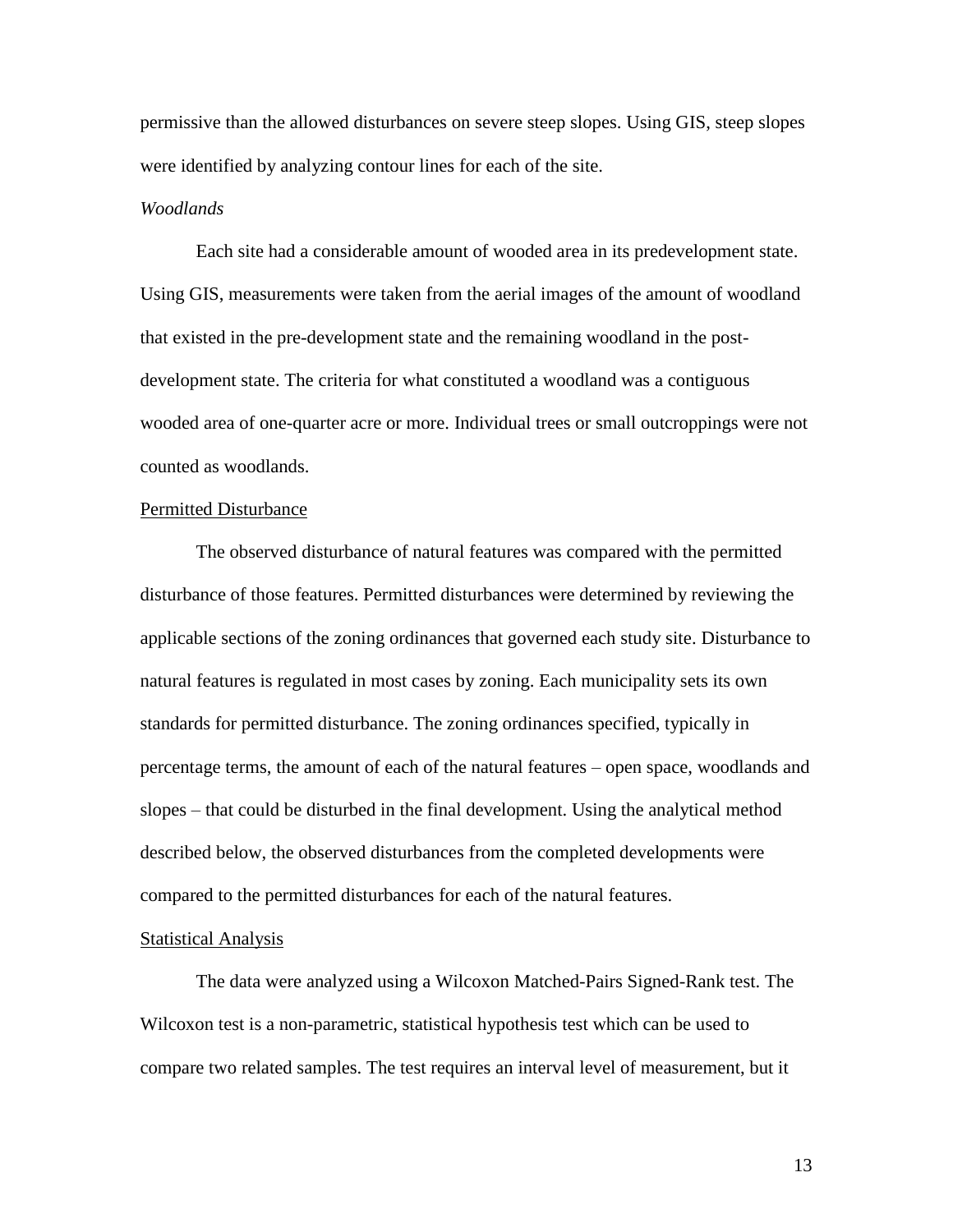permissive than the allowed disturbances on severe steep slopes. Using GIS, steep slopes were identified by analyzing contour lines for each of the site.

#### *Woodlands*

Each site had a considerable amount of wooded area in its predevelopment state. Using GIS, measurements were taken from the aerial images of the amount of woodland that existed in the pre-development state and the remaining woodland in the postdevelopment state. The criteria for what constituted a woodland was a contiguous wooded area of one-quarter acre or more. Individual trees or small outcroppings were not counted as woodlands.

#### Permitted Disturbance

The observed disturbance of natural features was compared with the permitted disturbance of those features. Permitted disturbances were determined by reviewing the applicable sections of the zoning ordinances that governed each study site. Disturbance to natural features is regulated in most cases by zoning. Each municipality sets its own standards for permitted disturbance. The zoning ordinances specified, typically in percentage terms, the amount of each of the natural features – open space, woodlands and slopes – that could be disturbed in the final development. Using the analytical method described below, the observed disturbances from the completed developments were compared to the permitted disturbances for each of the natural features.

#### Statistical Analysis

The data were analyzed using a Wilcoxon Matched-Pairs Signed-Rank test. The Wilcoxon test is a non-parametric, statistical hypothesis test which can be used to compare two related samples. The test requires an interval level of measurement, but it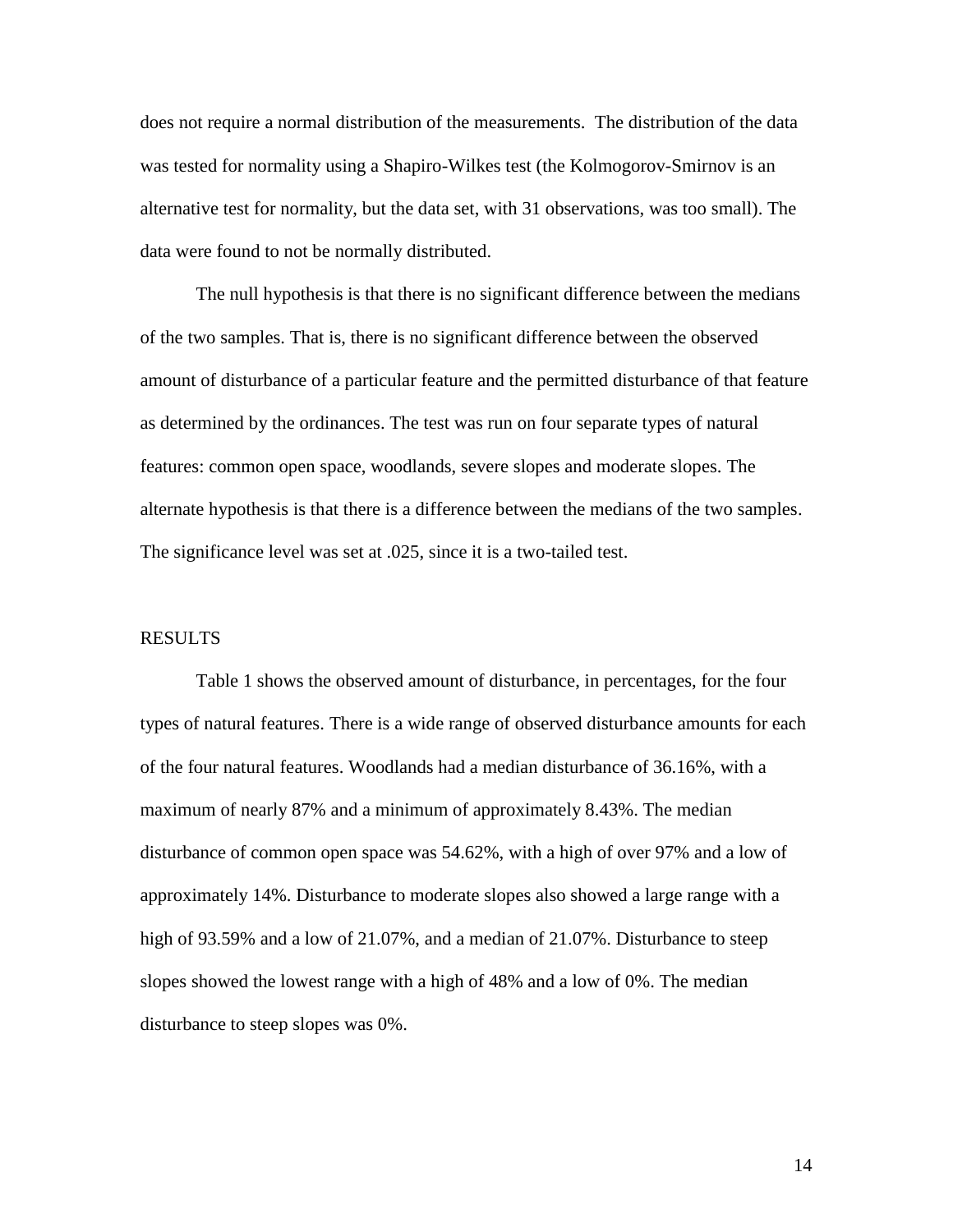does not require a normal distribution of the measurements. The distribution of the data was tested for normality using a Shapiro-Wilkes test (the Kolmogorov-Smirnov is an alternative test for normality, but the data set, with 31 observations, was too small). The data were found to not be normally distributed.

The null hypothesis is that there is no significant difference between the medians of the two samples. That is, there is no significant difference between the observed amount of disturbance of a particular feature and the permitted disturbance of that feature as determined by the ordinances. The test was run on four separate types of natural features: common open space, woodlands, severe slopes and moderate slopes. The alternate hypothesis is that there is a difference between the medians of the two samples. The significance level was set at .025, since it is a two-tailed test.

#### RESULTS

Table 1 shows the observed amount of disturbance, in percentages, for the four types of natural features. There is a wide range of observed disturbance amounts for each of the four natural features. Woodlands had a median disturbance of 36.16%, with a maximum of nearly 87% and a minimum of approximately 8.43%. The median disturbance of common open space was 54.62%, with a high of over 97% and a low of approximately 14%. Disturbance to moderate slopes also showed a large range with a high of 93.59% and a low of 21.07%, and a median of 21.07%. Disturbance to steep slopes showed the lowest range with a high of 48% and a low of 0%. The median disturbance to steep slopes was 0%.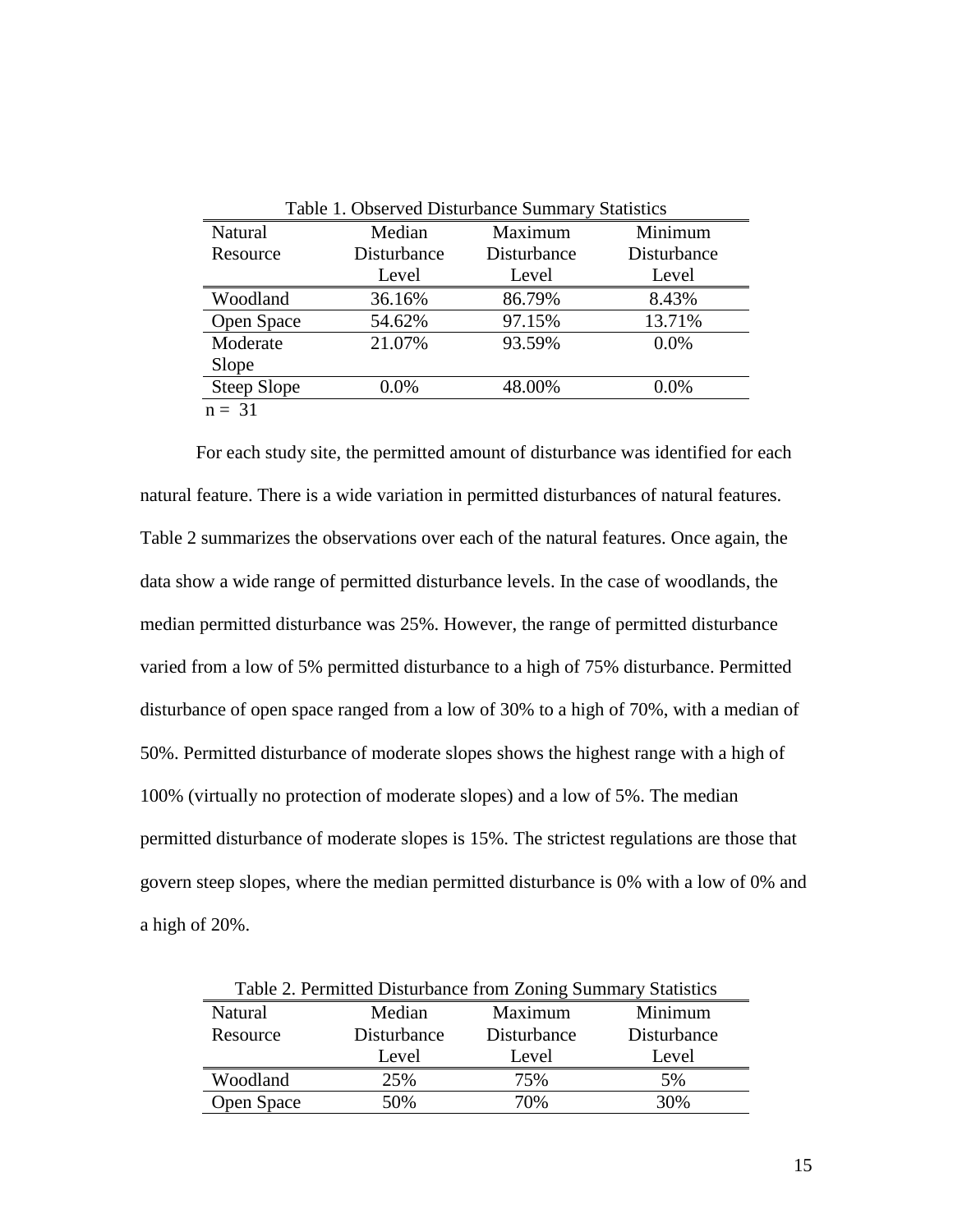| Natural     | Median      | Maximum     | Minimum     |
|-------------|-------------|-------------|-------------|
| Resource    | Disturbance | Disturbance | Disturbance |
|             | Level       | Level       | Level       |
| Woodland    | 36.16%      | 86.79%      | 8.43%       |
| Open Space  | 54.62%      | 97.15%      | 13.71%      |
| Moderate    | 21.07%      | 93.59%      | $0.0\%$     |
| Slope       |             |             |             |
| Steep Slope | $0.0\%$     | 48.00%      | $0.0\%$     |

For each study site, the permitted amount of disturbance was identified for each natural feature. There is a wide variation in permitted disturbances of natural features. Table 2 summarizes the observations over each of the natural features. Once again, the data show a wide range of permitted disturbance levels. In the case of woodlands, the median permitted disturbance was 25%. However, the range of permitted disturbance varied from a low of 5% permitted disturbance to a high of 75% disturbance. Permitted disturbance of open space ranged from a low of 30% to a high of 70%, with a median of 50%. Permitted disturbance of moderate slopes shows the highest range with a high of 100% (virtually no protection of moderate slopes) and a low of 5%. The median permitted disturbance of moderate slopes is 15%. The strictest regulations are those that govern steep slopes, where the median permitted disturbance is 0% with a low of 0% and a high of 20%.

| Table 2. Permitted Disturbance from Zoning Summary Statistics |             |             |             |  |  |
|---------------------------------------------------------------|-------------|-------------|-------------|--|--|
| Natural                                                       | Median      | Maximum     | Minimum     |  |  |
| Resource                                                      | Disturbance | Disturbance | Disturbance |  |  |
|                                                               | Level       | Level       | Level       |  |  |
| Woodland                                                      | 25%         | 75%         | 5%          |  |  |
| Open Space                                                    | 50%         | 70%         | 30%         |  |  |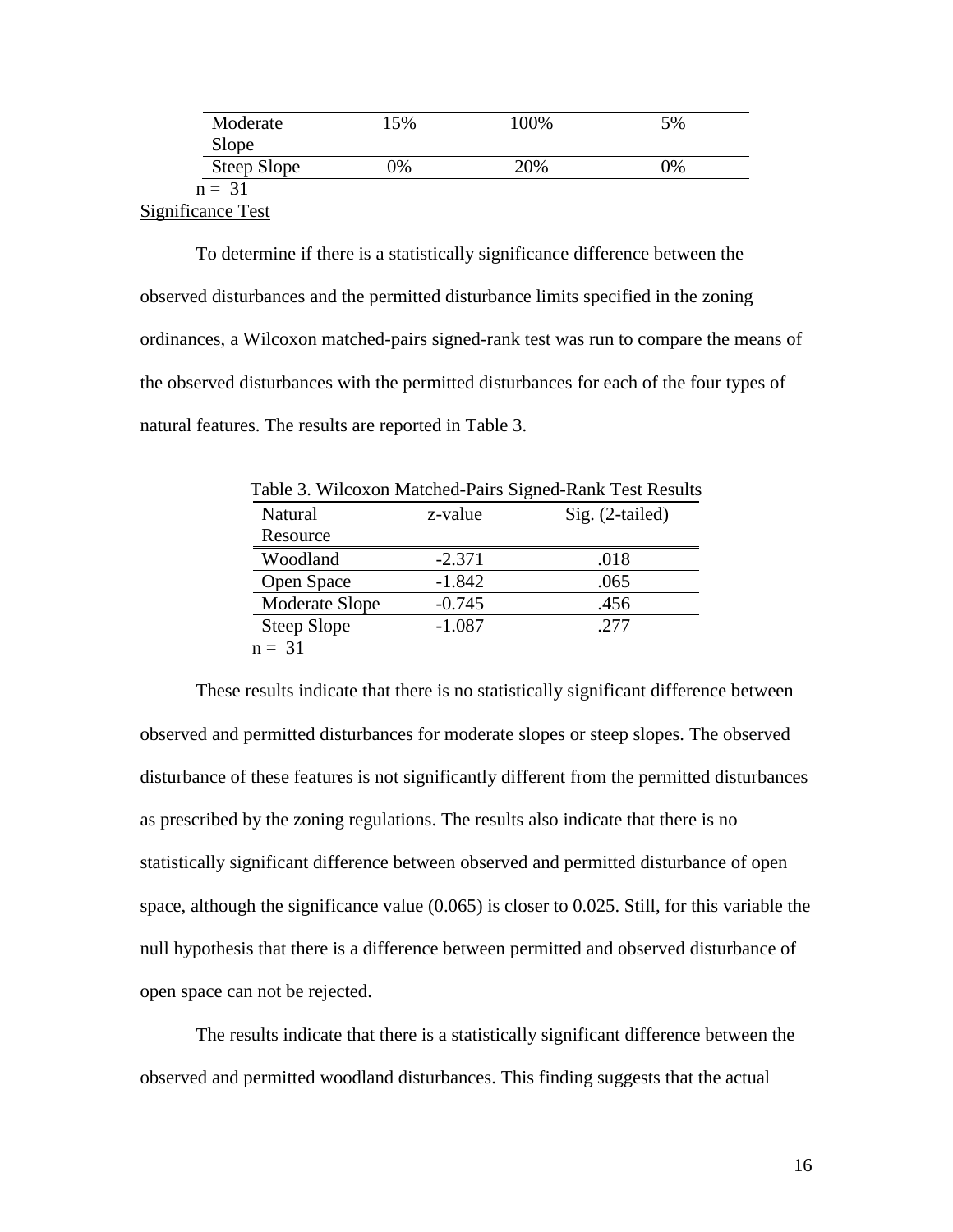| Moderate                 | 15% | 100% | 5% |
|--------------------------|-----|------|----|
| Slope                    |     |      |    |
| Steep Slope              | 0%  | 20%  | 0% |
| $n = 31$                 |     |      |    |
| <b>Significance Test</b> |     |      |    |

To determine if there is a statistically significance difference between the observed disturbances and the permitted disturbance limits specified in the zoning ordinances, a Wilcoxon matched-pairs signed-rank test was run to compare the means of the observed disturbances with the permitted disturbances for each of the four types of natural features. The results are reported in Table 3.

| Table 3. Wilcoxon Matched-Pairs Signed-Rank Test Results |          |                 |  |  |
|----------------------------------------------------------|----------|-----------------|--|--|
| Natural                                                  | z-value  | Sig. (2-tailed) |  |  |
| Resource                                                 |          |                 |  |  |
| Woodland                                                 | $-2.371$ | .018            |  |  |
| Open Space                                               | $-1.842$ | .065            |  |  |
| Moderate Slope                                           | $-0.745$ | .456            |  |  |
| Steep Slope                                              | $-1.087$ | .277            |  |  |
| $n = 31$                                                 |          |                 |  |  |

These results indicate that there is no statistically significant difference between observed and permitted disturbances for moderate slopes or steep slopes. The observed disturbance of these features is not significantly different from the permitted disturbances as prescribed by the zoning regulations. The results also indicate that there is no statistically significant difference between observed and permitted disturbance of open space, although the significance value (0.065) is closer to 0.025. Still, for this variable the null hypothesis that there is a difference between permitted and observed disturbance of open space can not be rejected.

The results indicate that there is a statistically significant difference between the observed and permitted woodland disturbances. This finding suggests that the actual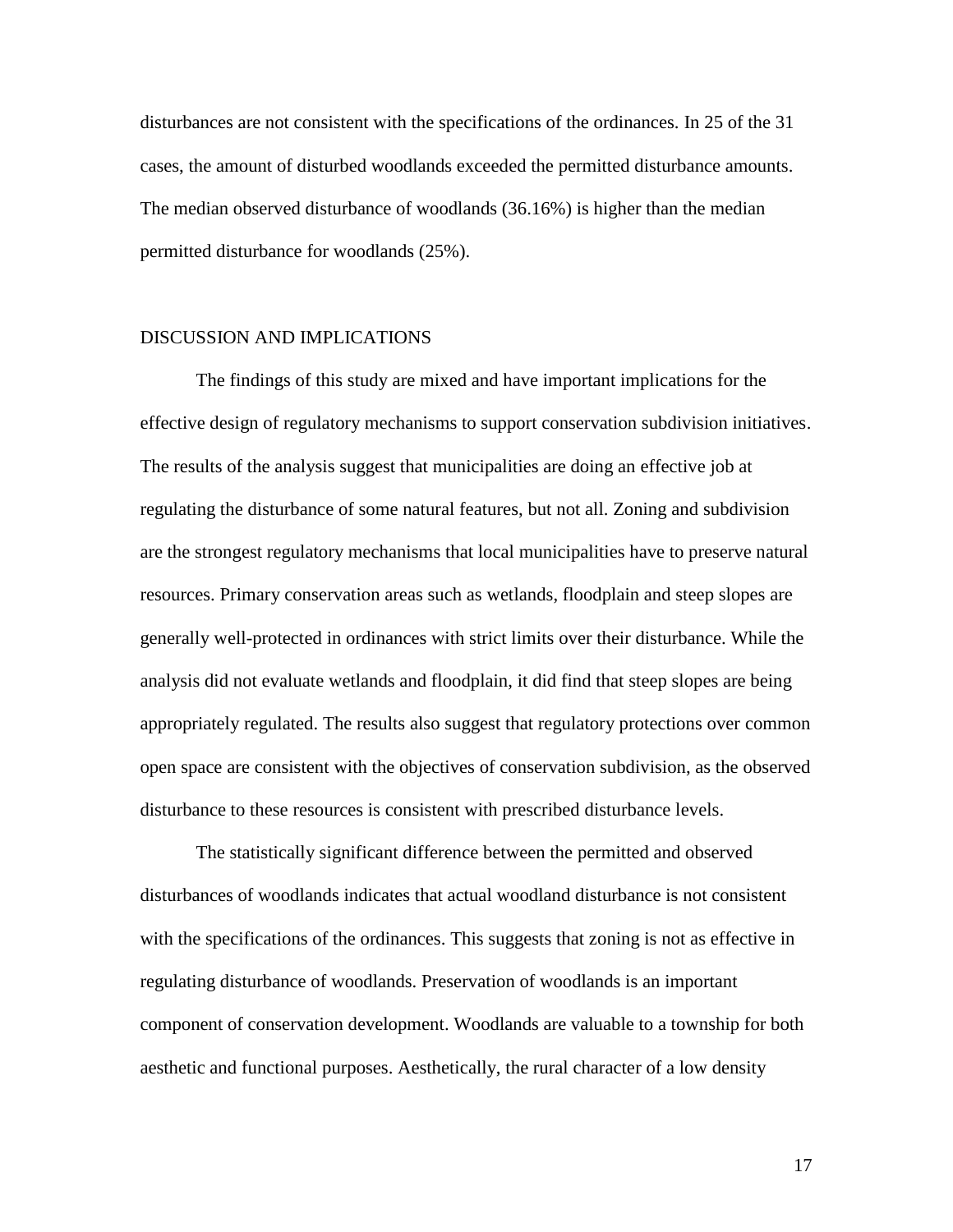disturbances are not consistent with the specifications of the ordinances. In 25 of the 31 cases, the amount of disturbed woodlands exceeded the permitted disturbance amounts. The median observed disturbance of woodlands (36.16%) is higher than the median permitted disturbance for woodlands (25%).

#### DISCUSSION AND IMPLICATIONS

The findings of this study are mixed and have important implications for the effective design of regulatory mechanisms to support conservation subdivision initiatives. The results of the analysis suggest that municipalities are doing an effective job at regulating the disturbance of some natural features, but not all. Zoning and subdivision are the strongest regulatory mechanisms that local municipalities have to preserve natural resources. Primary conservation areas such as wetlands, floodplain and steep slopes are generally well-protected in ordinances with strict limits over their disturbance. While the analysis did not evaluate wetlands and floodplain, it did find that steep slopes are being appropriately regulated. The results also suggest that regulatory protections over common open space are consistent with the objectives of conservation subdivision, as the observed disturbance to these resources is consistent with prescribed disturbance levels.

The statistically significant difference between the permitted and observed disturbances of woodlands indicates that actual woodland disturbance is not consistent with the specifications of the ordinances. This suggests that zoning is not as effective in regulating disturbance of woodlands. Preservation of woodlands is an important component of conservation development. Woodlands are valuable to a township for both aesthetic and functional purposes. Aesthetically, the rural character of a low density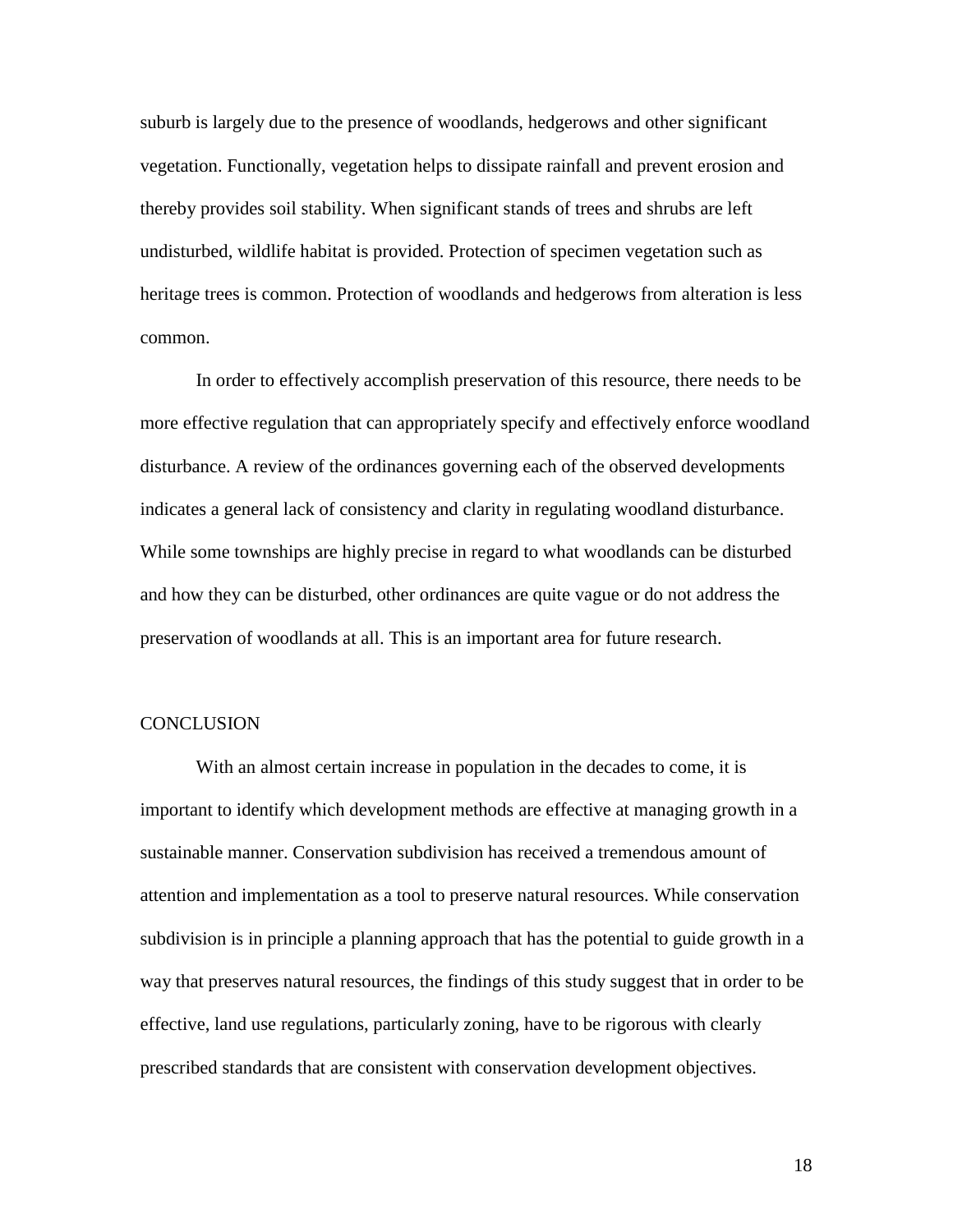suburb is largely due to the presence of woodlands, hedgerows and other significant vegetation. Functionally, vegetation helps to dissipate rainfall and prevent erosion and thereby provides soil stability. When significant stands of trees and shrubs are left undisturbed, wildlife habitat is provided. Protection of specimen vegetation such as heritage trees is common. Protection of woodlands and hedgerows from alteration is less common.

In order to effectively accomplish preservation of this resource, there needs to be more effective regulation that can appropriately specify and effectively enforce woodland disturbance. A review of the ordinances governing each of the observed developments indicates a general lack of consistency and clarity in regulating woodland disturbance. While some townships are highly precise in regard to what woodlands can be disturbed and how they can be disturbed, other ordinances are quite vague or do not address the preservation of woodlands at all. This is an important area for future research.

#### **CONCLUSION**

With an almost certain increase in population in the decades to come, it is important to identify which development methods are effective at managing growth in a sustainable manner. Conservation subdivision has received a tremendous amount of attention and implementation as a tool to preserve natural resources. While conservation subdivision is in principle a planning approach that has the potential to guide growth in a way that preserves natural resources, the findings of this study suggest that in order to be effective, land use regulations, particularly zoning, have to be rigorous with clearly prescribed standards that are consistent with conservation development objectives.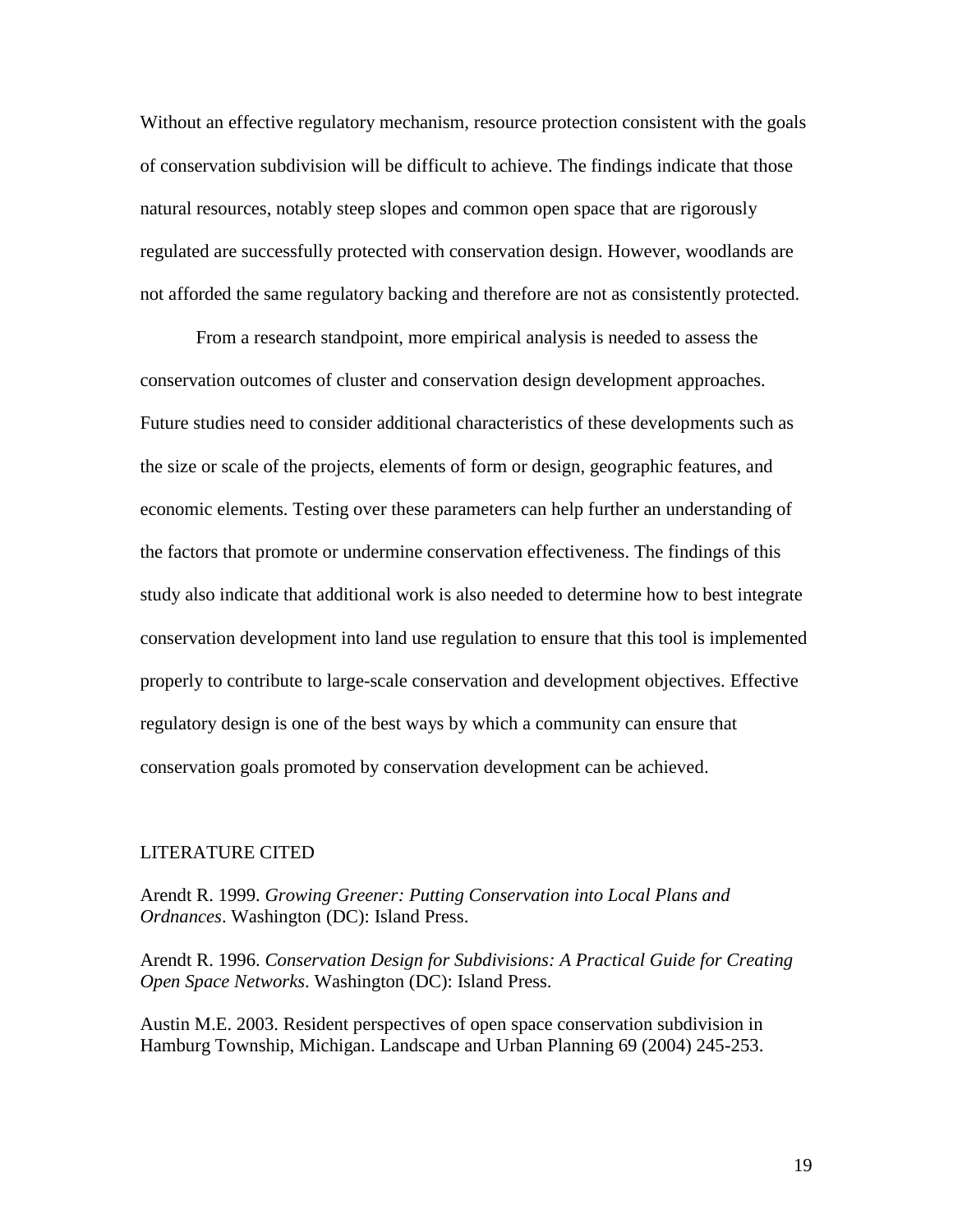Without an effective regulatory mechanism, resource protection consistent with the goals of conservation subdivision will be difficult to achieve. The findings indicate that those natural resources, notably steep slopes and common open space that are rigorously regulated are successfully protected with conservation design. However, woodlands are not afforded the same regulatory backing and therefore are not as consistently protected.

From a research standpoint, more empirical analysis is needed to assess the conservation outcomes of cluster and conservation design development approaches. Future studies need to consider additional characteristics of these developments such as the size or scale of the projects, elements of form or design, geographic features, and economic elements. Testing over these parameters can help further an understanding of the factors that promote or undermine conservation effectiveness. The findings of this study also indicate that additional work is also needed to determine how to best integrate conservation development into land use regulation to ensure that this tool is implemented properly to contribute to large-scale conservation and development objectives. Effective regulatory design is one of the best ways by which a community can ensure that conservation goals promoted by conservation development can be achieved.

#### LITERATURE CITED

Arendt R. 1999. *Growing Greener: Putting Conservation into Local Plans and Ordnances*. Washington (DC): Island Press.

Arendt R. 1996. *Conservation Design for Subdivisions: A Practical Guide for Creating Open Space Networks*. Washington (DC): Island Press.

Austin M.E. 2003. Resident perspectives of open space conservation subdivision in Hamburg Township, Michigan. Landscape and Urban Planning 69 (2004) 245-253.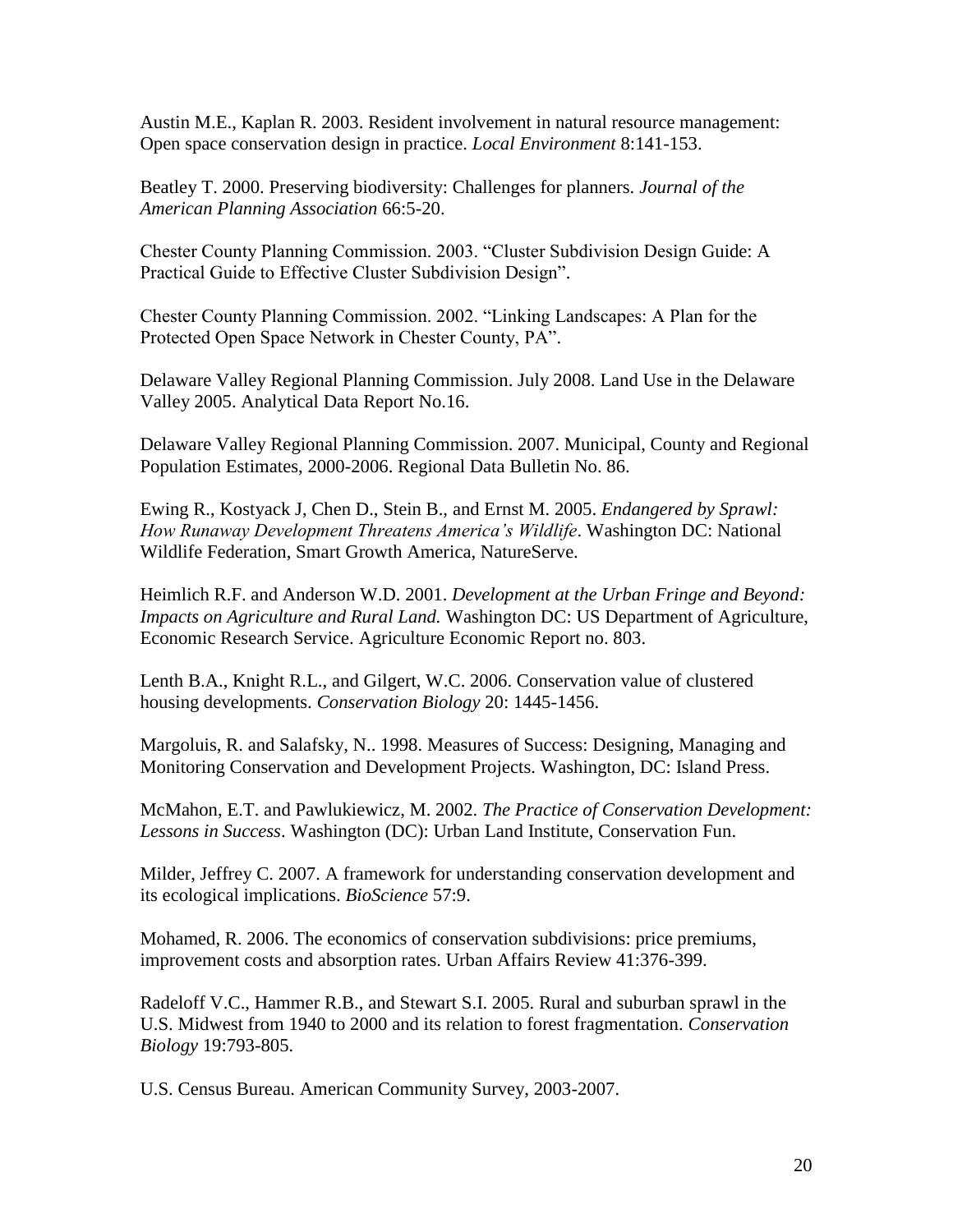Austin M.E., Kaplan R. 2003. Resident involvement in natural resource management: Open space conservation design in practice. *Local Environment* 8:141-153.

Beatley T. 2000. Preserving biodiversity: Challenges for planners. *Journal of the American Planning Association* 66:5-20.

Chester County Planning Commission. 2003. "Cluster Subdivision Design Guide: A Practical Guide to Effective Cluster Subdivision Design".

Chester County Planning Commission. 2002. "Linking Landscapes: A Plan for the Protected Open Space Network in Chester County, PA".

Delaware Valley Regional Planning Commission. July 2008. Land Use in the Delaware Valley 2005. Analytical Data Report No.16.

Delaware Valley Regional Planning Commission. 2007. Municipal, County and Regional Population Estimates, 2000-2006. Regional Data Bulletin No. 86.

Ewing R., Kostyack J, Chen D., Stein B., and Ernst M. 2005. *Endangered by Sprawl: How Runaway Development Threatens America's Wildlife*. Washington DC: National Wildlife Federation, Smart Growth America, NatureServe.

Heimlich R.F. and Anderson W.D. 2001. *Development at the Urban Fringe and Beyond: Impacts on Agriculture and Rural Land.* Washington DC: US Department of Agriculture, Economic Research Service. Agriculture Economic Report no. 803.

Lenth B.A., Knight R.L., and Gilgert, W.C. 2006. Conservation value of clustered housing developments. *Conservation Biology* 20: 1445-1456.

Margoluis, R. and Salafsky, N.. 1998. Measures of Success: Designing, Managing and Monitoring Conservation and Development Projects. Washington, DC: Island Press.

McMahon, E.T. and Pawlukiewicz, M. 2002. *The Practice of Conservation Development: Lessons in Success*. Washington (DC): Urban Land Institute, Conservation Fun.

Milder, Jeffrey C. 2007. A framework for understanding conservation development and its ecological implications. *BioScience* 57:9.

Mohamed, R. 2006. The economics of conservation subdivisions: price premiums, improvement costs and absorption rates. Urban Affairs Review 41:376-399.

Radeloff V.C., Hammer R.B., and Stewart S.I. 2005. Rural and suburban sprawl in the U.S. Midwest from 1940 to 2000 and its relation to forest fragmentation. *Conservation Biology* 19:793-805.

U.S. Census Bureau. American Community Survey, 2003-2007.